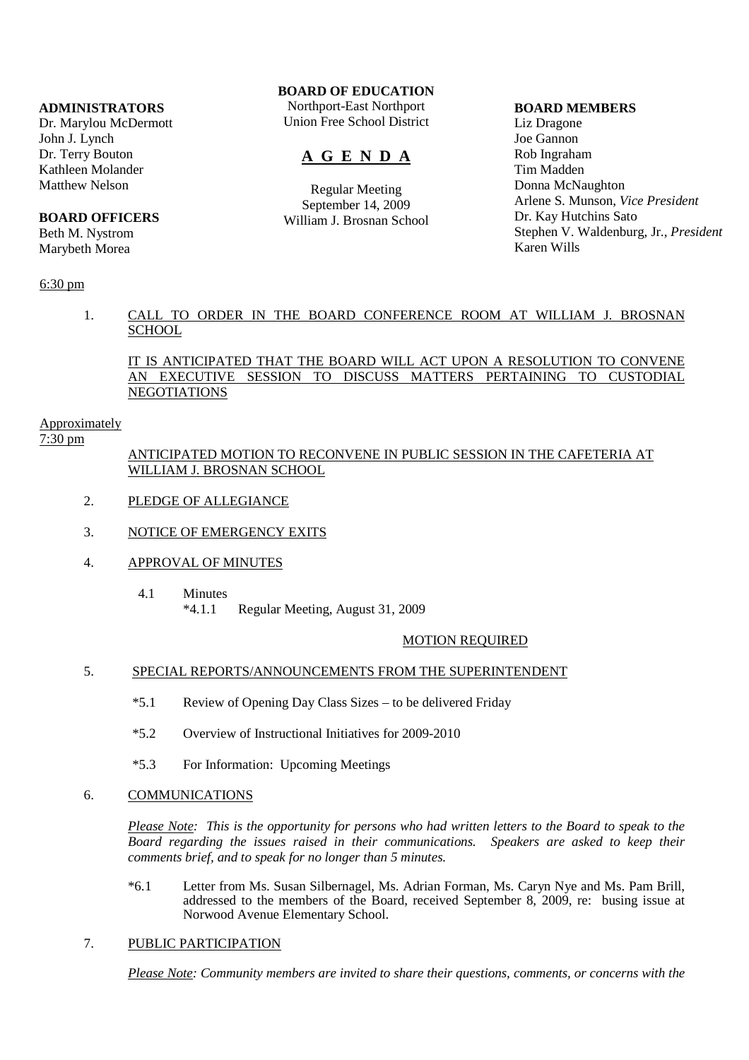#### **ADMINISTRATORS**

Dr. Marylou McDermott John J. Lynch Dr. Terry Bouton Kathleen Molander Matthew Nelson

### **BOARD OFFICERS**

Beth M. Nystrom Marybeth Morea

### 6:30 pm

## **BOARD OF EDUCATION**

Northport-East Northport Union Free School District

# **A G E N D A**

Regular Meeting September 14, 2009 William J. Brosnan School

#### **BOARD MEMBERS**

Liz Dragone Joe Gannon Rob Ingraham Tim Madden Donna McNaughton Arlene S. Munson, *Vice President* Dr. Kay Hutchins Sato Stephen V. Waldenburg, Jr., *President* Karen Wills

### 1. CALL TO ORDER IN THE BOARD CONFERENCE ROOM AT WILLIAM J. BROSNAN **SCHOOL**

IT IS ANTICIPATED THAT THE BOARD WILL ACT UPON A RESOLUTION TO CONVENE AN EXECUTIVE SESSION TO DISCUSS MATTERS PERTAINING TO CUSTODIAL **NEGOTIATIONS** 

### Approximately

7:30 pm

### ANTICIPATED MOTION TO RECONVENE IN PUBLIC SESSION IN THE CAFETERIA AT WILLIAM J. BROSNAN SCHOOL

- 2. PLEDGE OF ALLEGIANCE
- 3. NOTICE OF EMERGENCY EXITS
- 4. APPROVAL OF MINUTES
	- 4.1 Minutes \*4.1.1 Regular Meeting, August 31, 2009

#### MOTION REQUIRED

#### 5. SPECIAL REPORTS/ANNOUNCEMENTS FROM THE SUPERINTENDENT

- \*5.1 Review of Opening Day Class Sizes to be delivered Friday
- \*5.2 Overview of Instructional Initiatives for 2009-2010
- \*5.3 For Information: Upcoming Meetings

#### 6. COMMUNICATIONS

*Please Note: This is the opportunity for persons who had written letters to the Board to speak to the Board regarding the issues raised in their communications. Speakers are asked to keep their comments brief, and to speak for no longer than 5 minutes.*

 \*6.1 Letter from Ms. Susan Silbernagel, Ms. Adrian Forman, Ms. Caryn Nye and Ms. Pam Brill, addressed to the members of the Board, received September 8, 2009, re: busing issue at Norwood Avenue Elementary School.

### 7. PUBLIC PARTICIPATION

*Please Note: Community members are invited to share their questions, comments, or concerns with the*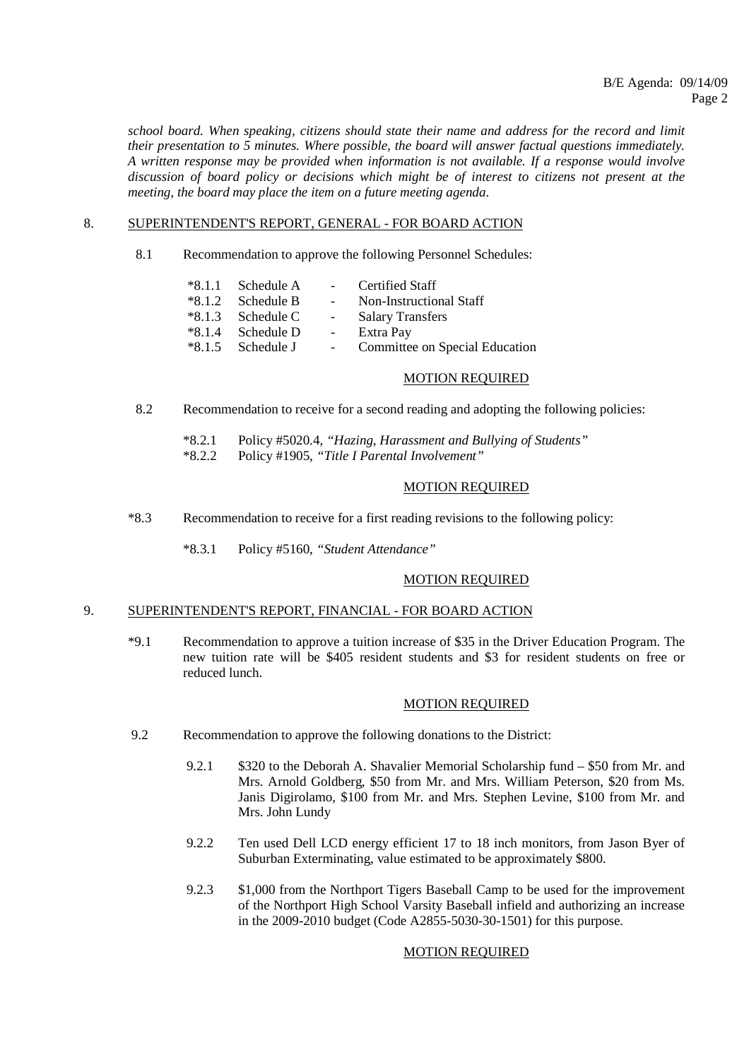*school board. When speaking, citizens should state their name and address for the record and limit their presentation to 5 minutes. Where possible, the board will answer factual questions immediately. A written response may be provided when information is not available. If a response would involve discussion of board policy or decisions which might be of interest to citizens not present at the meeting, the board may place the item on a future meeting agenda*.

#### 8. SUPERINTENDENT'S REPORT, GENERAL - FOR BOARD ACTION

8.1 Recommendation to approve the following Personnel Schedules:

| $*8.1.1$ Schedule A | $\sim 100$          | Certified Staff                |
|---------------------|---------------------|--------------------------------|
| $*8.1.2$ Schedule B | $\sim$ 100 $\mu$    | Non-Instructional Staff        |
| $*8.1.3$ Schedule C | $\omega_{\rm{max}}$ | <b>Salary Transfers</b>        |
| $*8.1.4$ Schedule D | $\sim$              | Extra Pay                      |
| $*8.1.5$ Schedule J |                     | Committee on Special Education |

#### MOTION REQUIRED

- 8.2 Recommendation to receive for a second reading and adopting the following policies:
	- \*8.2.1 Policy #5020.4, *"Hazing, Harassment and Bullying of Students"*
	- \*8.2.2 Policy #1905, *"Title I Parental Involvement"*

#### MOTION REQUIRED

- \*8.3 Recommendation to receive for a first reading revisions to the following policy:
	- \*8.3.1 Policy #5160, *"Student Attendance"*

### MOTION REQUIRED

#### 9. SUPERINTENDENT'S REPORT, FINANCIAL - FOR BOARD ACTION

 \*9.1 Recommendation to approve a tuition increase of \$35 in the Driver Education Program. The new tuition rate will be \$405 resident students and \$3 for resident students on free or reduced lunch.

#### MOTION REQUIRED

- 9.2 Recommendation to approve the following donations to the District:
	- 9.2.1 \$320 to the Deborah A. Shavalier Memorial Scholarship fund \$50 from Mr. and Mrs. Arnold Goldberg, \$50 from Mr. and Mrs. William Peterson, \$20 from Ms. Janis Digirolamo, \$100 from Mr. and Mrs. Stephen Levine, \$100 from Mr. and Mrs. John Lundy
	- 9.2.2 Ten used Dell LCD energy efficient 17 to 18 inch monitors, from Jason Byer of Suburban Exterminating, value estimated to be approximately \$800.
	- 9.2.3 \$1,000 from the Northport Tigers Baseball Camp to be used for the improvement of the Northport High School Varsity Baseball infield and authorizing an increase in the 2009-2010 budget (Code A2855-5030-30-1501) for this purpose.

#### MOTION REQUIRED